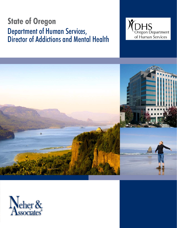# **Department of Human Services,** Director of Addictions and Mental Health





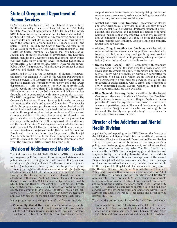## **State of Oregon and Department of Human Services**

Organized as a territory in 1848, the State of Oregon entered the Union and adopted its' current constitution in 1859. Today the state government administers a 2007-2009 budget of nearly \$128 billion and serves a population of citizens estimated to be about 3.8 million. The State of Oregon covers about 96,000 square miles and includes 36 counties and numerous cities of which the largest are Portland (576,000), Eugene (155,000) and Salem (152,000). In 2007 the State of Oregon was rated in the top 25 states in the U.S. for Most Livable States (number 23) and Healthiest States (number 17). Organized into Legislative, Judicial and Executive Branches of government, the Executive Branch includes the Governor's office that among other things oversees eight major program areas including: Economic & Community Development; Education; Natural Resources; Public Safety; Transportation, Administration; Consumer Business Services; and Human Resources.

Established in 1971 as the Department of Human Resources, the name was changed in 1999 to the Oregon Department of Human Services. The Department of Human Services (DHS) is the State's Health and Human Services Agency and is the largest department in state government employing approximately 10,000 people in more than 170 locations around the state. DHS administers more than 300 programs and delivers services through, and in coordination with, many community partners. The DHS budget for 2007-2009 is about \$12.2 billion. The Governor's budget for Human Services is intended to protect and promote the health and safety of Oregonians. The agencies within this program area provide services such as physical health, mental health and addictions, public health services, employment and family support services that promote self-sufficiency and economic stability, child protective services for abused or neglected children and long-term care services for Oregon's seniors and people with disabilities. DHS is organized into six divisions and the Director's Office. The divisions are: Administrative Services; Addictions and Mental Health; Children, Adults and Families; Medical Assistance Programs; Public Health; and Seniors and People with Disabilities. More than 85 percent of the budget goes directly to clients or to the local community partners to provide services to more than one million Oregonians each year. The director of DHS is Bruce Goldberg, M.D.

## **Division of Addictions and Mental Health**

The Addictions and Mental Health Division (AMH) is responsible for programs, policies, community services, and state-operated public institutions serving persons with mental illness, alcohol, and drug and gambling problems. The Division assists Oregonians in being independent, healthy and safe by preventing and reducing the negative effects of alcohol, other drugs, gambling addiction and mental health disorders, and promoting recovery through culturally appropriate, evidence-based treatment of addictions, pathological gambling, mental illness and emotional disorders. With a 2007-2009 biennial budget of approximately \$1.2 billion, the Division employs about 1,560 persons directly and contracts for services with hundreds of programs at the county and community level across the state. Through its local partners, AMH serves over 64,000 persons in addictions treatment and 103,000 persons in mental health programs each year.

Major program/service components of the Division include:

• Community Mental Health – includes community mental health programs in all 36 Oregon counties for low-income adults and children. Services include acute inpatient treatment, residential treatment, adult foster care, Outpatient therapy,

support services for successful community living, medication services, case management, assistance in finding and maintaining housing, and work and social support.

- Alcohol and Other Drug Treatment treatment for alcohol and other drug abuse is provided in all 36 counties through county mental health programs, designated nonprofit organizations, and statewide and regional residential programs. Services include outpatient, intensive outpatient, residential and detoxification services designed to meet the needs of women, parents with children, various ethnic and minority groups and adolescents.
- Alcohol, Drug Prevention and Gambling evidence-based services designed to prevent addictive problems associated with tobacco, alcohol, other drugs and gambling are provided through community mental health programs, federally recognized tribes (Indian Nations) and statewide contractors.
- Oregon State Hospital JCAHO accredited with campuses in Salem and Portland, the state hospital provides long-term psychiatric treatment for adults with severe and persistent mental illness who are civilly or criminally committed for treatment. 675 beds, 92 of which are in Portland available for geropsychiatric and medical services, evaluation and treatment of adults charged with a crime, and treatment of civilly committed adults. Secure residential beds for less restrictive treatment are also available.
- Blue Mountain Recovery Center certified by the federal Centers for Medicare and Medicaid Services, the Pendleton facility, formerly known as Eastern Oregon Psychiatric Center provides 60 beds for psychiatric treatment of adults with severe and persistent mental illness and low-income patients from eastern Oregon counties who are not eligible for Medicaid. The facility also provides long-term services for other adults from across the state.

## **Director of the Addictions and Mental Health Division**

Appointed by and reporting to the DHS Director, the Director of the Addictions and Mental Health Division (AMH) also serves as an Assistant Director of the overall Department of Human Services and participates with other Directors as the group develops policy, coordinates program development, and addresses fiscal and program problems as they arise. The AMH Director also confers with the DHS Director regarding general direction and response to legislative and gubernatorial action. He/she is responsible for the direction and management of the overall Division budget and staff as previously described. Direct management staff supervised includes a Deputy Director, Superintendents for the Oregon State Hospital and Blue Mountain Recovery Center, the Division Medical Director, an Administrator for Addictions Policy and Program Development, an Administrator for Adult Mental Health Services, and an Operations and Contracts Administrator. There are also high-level managers responsible for community prevention, treatment and extended care services and planning and program operations. Another key responsibility of the AMH Director is coordinating mental health and addiction services with the others programs and operations within Health Services and across the range of programs and direct service delivery in DHS.

Typical duties and responsibilities of the AMH Director include:

• Assures conformity with Addictions and Mental Health Services statutes of the State by providing administrative leadership and direction in program and service areas. Implements changes in legislation pertinent to addictions and mental health programs.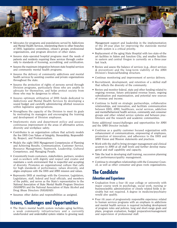

- Advocates for programs and populations served by Addictions and Mental Health Services, interpreting them to other branches of DHS, legislative committees, citizen's groups, professional organizations, and program directors of other states.
- Assures state-operated hospital programs meet the needs of patients and residents requiring these services through conformity to standards of licensing, accrediting, and certification.
- Assures the maximum integration between state hospital services and community mental health programs.
- Assures the delivery of community addictions and mental health services by assisting counties and private organizations throughout the state.
- Assures the protection of rights of persons served through Division programs, particularly those who are unable to advocate for themselves, and helps protect society from those who may be dangerous to others.
- Assures optimum utilization of DHS funds dedicated to Addictions and Mental Health Services by developing a sound budget and carefully administering allotted resources within legislative appropriations.
- Strengthens the capacity of the Division to meet its goals by motivating its managers and encouraging the training and development of Division employees.
- Implements state and department policy and assures continuous improvement in the areas of affirmative action, diversity and workplace safety.
- Contributes to an organization culture that actively models the five DHS Core Values of Integrity, Stewardship, Responsibility, Respect, and Professionalism.
- Models the eight DHS Management Competencies of Planning and Achieving Results, Communication, Customer Service, Resource Management, Teamwork, Leadership, Cultural Competence, and Managing People.
- Consistently treats customers, stakeholders, partners, vendors and co-workers with dignity and respect and creates and maintains a work environment that is respectful and accepting of diversity. Promotes an organizational culture that calls for high standards of performance, values diversity, and aligns employees with the DHS and AMH mission and values.
- Represents DHS at meetings with the Governor, Legislators, Legislature, staff, federal and local officials, and members of the public, and serves as the State's representative to the National Association of State Mental Health Program Directors (NASMPD) and the National Association of State Alcohol and Drug Abuse Directors (NASADAD)
- Assumes other duties and responsibilities as assigned.

## **Issues, Challenges and Opportunities**

• The State's mental health system includes aging facilities, a weak community infrastructure and a currently underfunded and understaffed system relative to growing need. Management support and leadership in the implementation of the 20-year plan for improving the statewide mental health system is a critical priority.

- Replacement of the aging State Hospital with two state-of-the art facilities in Salem and Junction City, and smaller facilities in eastern and central Oregon is currently on a three-year fast track.
- Review and assess the balance of services (e.g., direct services & prevention) and the long-term viability of the AMH Division's financial/funding structure.
- Continue monitoring and improvement of service delivery.
- Recruitment, development, and retention of a skilled staff that reflects the diversity of the community.
- Review and monitor federal, state and other funding related to ongoing revenue, future anticipated revenue losses, ongoing subsidization and maximization, and potential new sources of revenue and income.
- Continue to build on strategic partnerships, collaborative relationships, and innovation, and facilitate communication between DHS, AMH, healthcare, social services, addiction and mental/behavioral health services, community and consumer groups and other related service systems and between practitioners and the research and academic communities.

Some additional issues/challenges and opportunities for AMH and the AMH Director include:

- Continue as a quality customer focused organization with enhancement of communications, empowering of employees, promotion of innovation, and adherence to the DHS and AMH Vision and Mission statements and practices.
- Work with the staff to bring stronger management and clinical acumen to AMH at all staff levels and further develop managerial and staff capability and capacity.
- Take the lead in developing staff training, succession planning and performance/quality management.
- Continue to strengthen relationships with the Consumer Council, as well as other consumer and grass roots organizations.

## **The Candidate**

#### **Education and Experience**

- Graduation from a four (4) year college or university with major course work in psychology, social work, nursing or business/public administration or closely related fields is desirable but not required. A degree in medicine/psychiatry would also qualify.
- Four (4) years of progressively responsible experience related to human services programs with an emphasis in addictions and mental health services is required including development of program rules and policies, long and short-range goals and plans, program evaluation, budget preparation/management and supervision of professional staff.